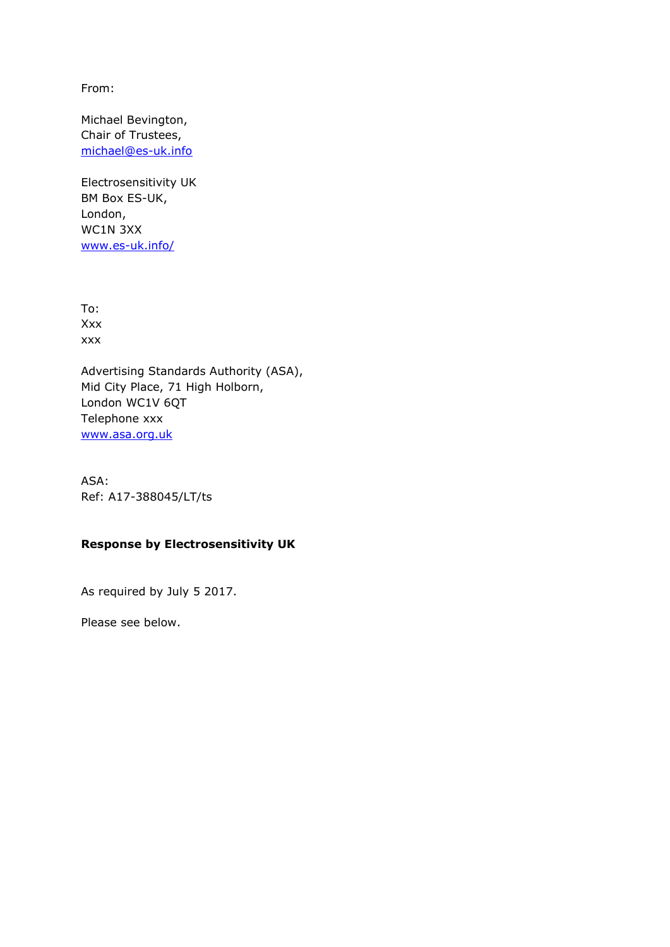From:

Michael Bevington, Chair of Trustees, [michael@es-uk.info](mailto:michael@es-uk.info)

Electrosensitivity UK BM Box ES-UK, London, WC1N 3XX [www.es-uk.info/](http://www.es-uk.info/)

To: Xxx xxx

Advertising Standards Authority (ASA), Mid City Place, 71 High Holborn, London WC1V 6QT Telephone xxx [www.asa.org.uk](http://www.asa.org.uk/)

ASA: Ref: A17-388045/LT/ts

## **Response by Electrosensitivity UK**

As required by July 5 2017.

Please see below.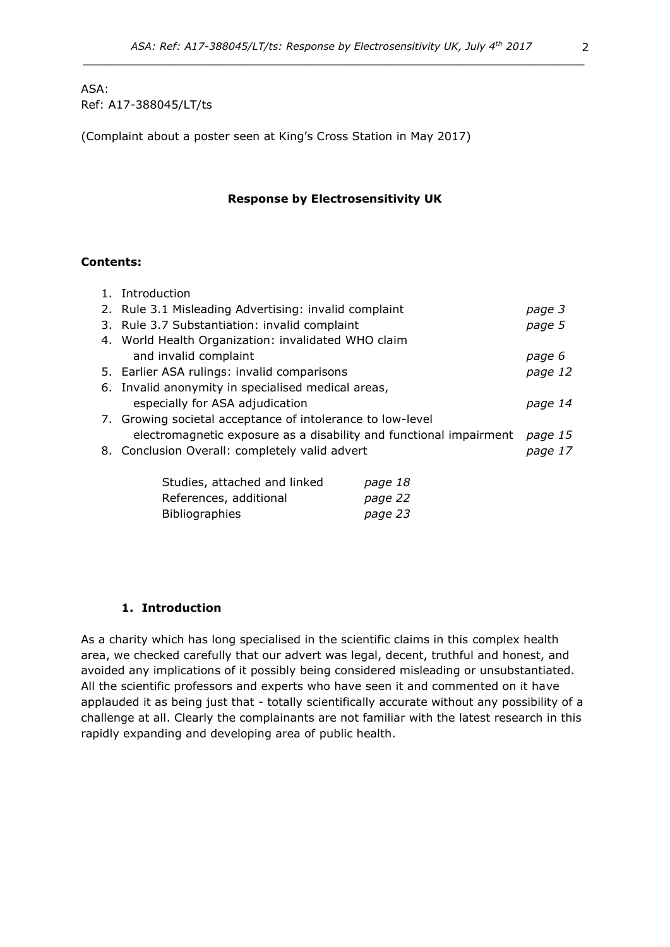### ASA: Ref: A17-388045/LT/ts

(Complaint about a poster seen at King's Cross Station in May 2017)

#### **Response by Electrosensitivity UK**

#### **Contents:**

| 1. Introduction                                                    |         |
|--------------------------------------------------------------------|---------|
| 2. Rule 3.1 Misleading Advertising: invalid complaint              | page 3  |
| 3. Rule 3.7 Substantiation: invalid complaint                      | page 5  |
| 4. World Health Organization: invalidated WHO claim                |         |
| and invalid complaint                                              | page 6  |
| 5. Earlier ASA rulings: invalid comparisons                        | page 12 |
| 6. Invalid anonymity in specialised medical areas,                 |         |
| especially for ASA adjudication                                    | page 14 |
| 7. Growing societal acceptance of intolerance to low-level         |         |
| electromagnetic exposure as a disability and functional impairment | page 15 |
| 8. Conclusion Overall: completely valid advert                     | page 17 |
|                                                                    |         |
| Studies, attached and linked<br>page 18                            |         |
|                                                                    |         |

| Studies, attached and inked | page 10 |
|-----------------------------|---------|
| References, additional      | page 22 |
| <b>Bibliographies</b>       | page 23 |

#### **1. Introduction**

As a charity which has long specialised in the scientific claims in this complex health area, we checked carefully that our advert was legal, decent, truthful and honest, and avoided any implications of it possibly being considered misleading or unsubstantiated. All the scientific professors and experts who have seen it and commented on it have applauded it as being just that - totally scientifically accurate without any possibility of a challenge at all. Clearly the complainants are not familiar with the latest research in this rapidly expanding and developing area of public health.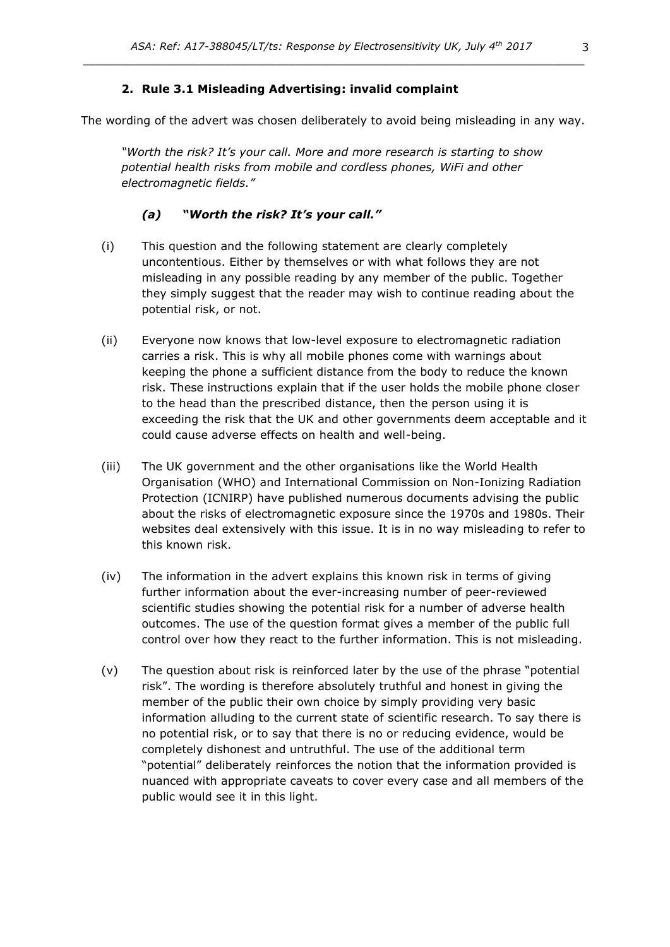#### **2. Rule 3.1 Misleading Advertising: invalid complaint**

The wording of the advert was chosen deliberately to avoid being misleading in any way.

*"Worth the risk? It's your call. More and more research is starting to show potential health risks from mobile and cordless phones, WiFi and other electromagnetic fields."* 

#### *(a) "Worth the risk? It's your call."*

- (i) This question and the following statement are clearly completely uncontentious. Either by themselves or with what follows they are not misleading in any possible reading by any member of the public. Together they simply suggest that the reader may wish to continue reading about the potential risk, or not.
- (ii) Everyone now knows that low-level exposure to electromagnetic radiation carries a risk. This is why all mobile phones come with warnings about keeping the phone a sufficient distance from the body to reduce the known risk. These instructions explain that if the user holds the mobile phone closer to the head than the prescribed distance, then the person using it is exceeding the risk that the UK and other governments deem acceptable and it could cause adverse effects on health and well-being.
- (iii) The UK government and the other organisations like the World Health Organisation (WHO) and International Commission on Non-Ionizing Radiation Protection (ICNIRP) have published numerous documents advising the public about the risks of electromagnetic exposure since the 1970s and 1980s. Their websites deal extensively with this issue. It is in no way misleading to refer to this known risk.
- (iv) The information in the advert explains this known risk in terms of giving further information about the ever-increasing number of peer-reviewed scientific studies showing the potential risk for a number of adverse health outcomes. The use of the question format gives a member of the public full control over how they react to the further information. This is not misleading.
- (v) The question about risk is reinforced later by the use of the phrase "potential risk". The wording is therefore absolutely truthful and honest in giving the member of the public their own choice by simply providing very basic information alluding to the current state of scientific research. To say there is no potential risk, or to say that there is no or reducing evidence, would be completely dishonest and untruthful. The use of the additional term "potential" deliberately reinforces the notion that the information provided is nuanced with appropriate caveats to cover every case and all members of the public would see it in this light.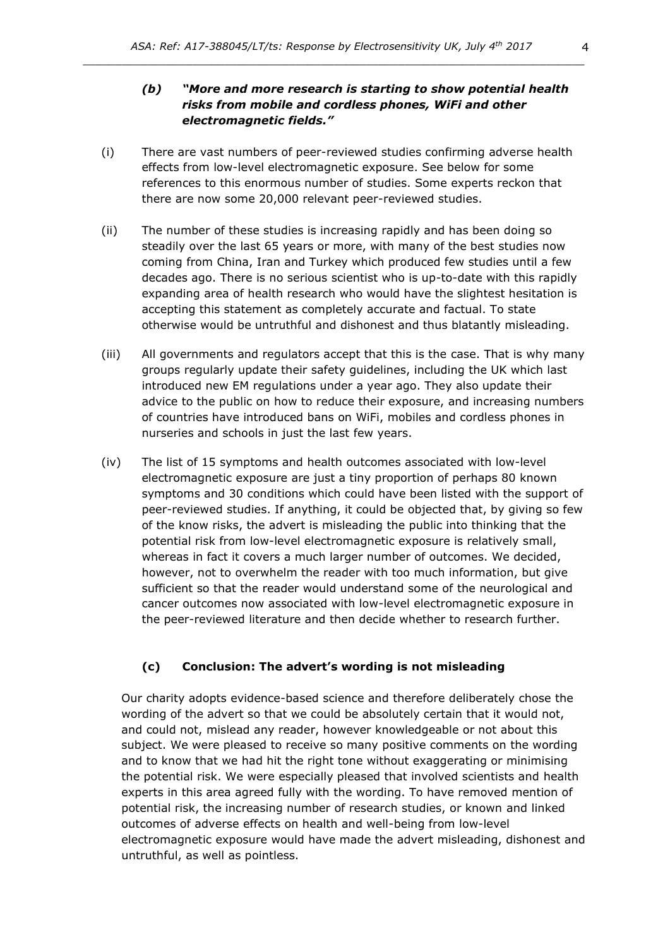# *(b) "More and more research is starting to show potential health risks from mobile and cordless phones, WiFi and other electromagnetic fields."*

- (i) There are vast numbers of peer-reviewed studies confirming adverse health effects from low-level electromagnetic exposure. See below for some references to this enormous number of studies. Some experts reckon that there are now some 20,000 relevant peer-reviewed studies.
- (ii) The number of these studies is increasing rapidly and has been doing so steadily over the last 65 years or more, with many of the best studies now coming from China, Iran and Turkey which produced few studies until a few decades ago. There is no serious scientist who is up-to-date with this rapidly expanding area of health research who would have the slightest hesitation is accepting this statement as completely accurate and factual. To state otherwise would be untruthful and dishonest and thus blatantly misleading.
- (iii) All governments and regulators accept that this is the case. That is why many groups regularly update their safety guidelines, including the UK which last introduced new EM regulations under a year ago. They also update their advice to the public on how to reduce their exposure, and increasing numbers of countries have introduced bans on WiFi, mobiles and cordless phones in nurseries and schools in just the last few years.
- (iv) The list of 15 symptoms and health outcomes associated with low-level electromagnetic exposure are just a tiny proportion of perhaps 80 known symptoms and 30 conditions which could have been listed with the support of peer-reviewed studies. If anything, it could be objected that, by giving so few of the know risks, the advert is misleading the public into thinking that the potential risk from low-level electromagnetic exposure is relatively small, whereas in fact it covers a much larger number of outcomes. We decided, however, not to overwhelm the reader with too much information, but give sufficient so that the reader would understand some of the neurological and cancer outcomes now associated with low-level electromagnetic exposure in the peer-reviewed literature and then decide whether to research further.

#### **(c) Conclusion: The advert's wording is not misleading**

Our charity adopts evidence-based science and therefore deliberately chose the wording of the advert so that we could be absolutely certain that it would not, and could not, mislead any reader, however knowledgeable or not about this subject. We were pleased to receive so many positive comments on the wording and to know that we had hit the right tone without exaggerating or minimising the potential risk. We were especially pleased that involved scientists and health experts in this area agreed fully with the wording. To have removed mention of potential risk, the increasing number of research studies, or known and linked outcomes of adverse effects on health and well-being from low-level electromagnetic exposure would have made the advert misleading, dishonest and untruthful, as well as pointless.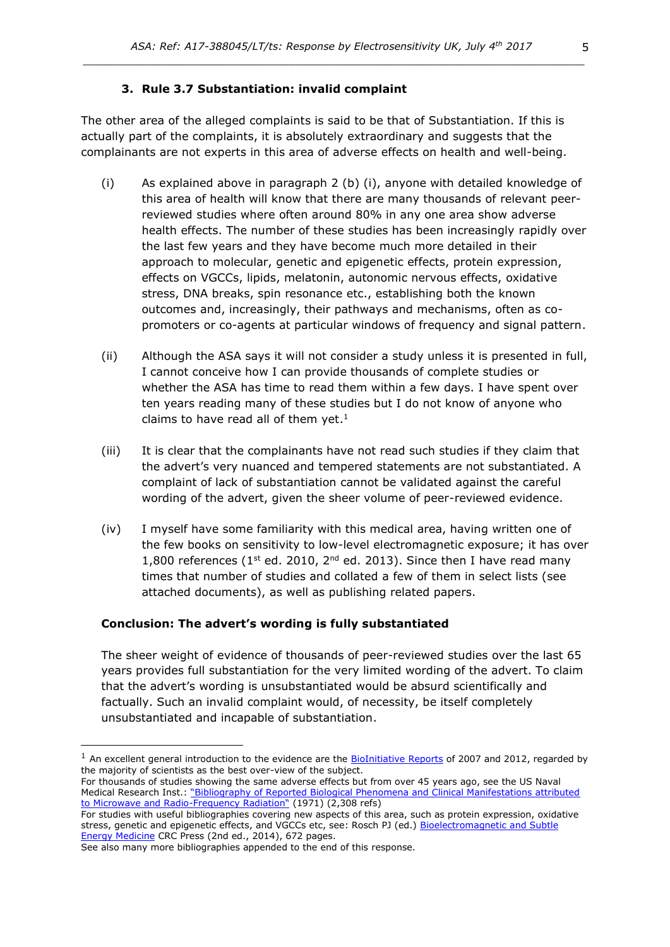### **3. Rule 3.7 Substantiation: invalid complaint**

The other area of the alleged complaints is said to be that of Substantiation. If this is actually part of the complaints, it is absolutely extraordinary and suggests that the complainants are not experts in this area of adverse effects on health and well-being.

- (i) As explained above in paragraph 2 (b) (i), anyone with detailed knowledge of this area of health will know that there are many thousands of relevant peerreviewed studies where often around 80% in any one area show adverse health effects. The number of these studies has been increasingly rapidly over the last few years and they have become much more detailed in their approach to molecular, genetic and epigenetic effects, protein expression, effects on VGCCs, lipids, melatonin, autonomic nervous effects, oxidative stress, DNA breaks, spin resonance etc., establishing both the known outcomes and, increasingly, their pathways and mechanisms, often as copromoters or co-agents at particular windows of frequency and signal pattern.
- (ii) Although the ASA says it will not consider a study unless it is presented in full, I cannot conceive how I can provide thousands of complete studies or whether the ASA has time to read them within a few days. I have spent over ten years reading many of these studies but I do not know of anyone who claims to have read all of them yet. $<sup>1</sup>$ </sup>
- (iii) It is clear that the complainants have not read such studies if they claim that the advert's very nuanced and tempered statements are not substantiated. A complaint of lack of substantiation cannot be validated against the careful wording of the advert, given the sheer volume of peer-reviewed evidence.
- (iv) I myself have some familiarity with this medical area, having written one of the few books on sensitivity to low-level electromagnetic exposure; it has over 1,800 references ( $1^{st}$  ed. 2010,  $2^{nd}$  ed. 2013). Since then I have read many times that number of studies and collated a few of them in select lists (see attached documents), as well as publishing related papers.

#### **Conclusion: The advert's wording is fully substantiated**

The sheer weight of evidence of thousands of peer-reviewed studies over the last 65 years provides full substantiation for the very limited wording of the advert. To claim that the advert's wording is unsubstantiated would be absurd scientifically and factually. Such an invalid complaint would, of necessity, be itself completely unsubstantiated and incapable of substantiation.

 $<sup>1</sup>$  An excellent general introduction to the evidence are the [BioInitiative Reports](http://www.bioinitiative.org/) of 2007 and 2012, regarded by</sup> the majority of scientists as the best over-view of the subject.

For thousands of studies showing the same adverse effects but from over 45 years ago, see the US Naval Medical Research Inst.: ["Bibliography of Reported Biological Phenomena and Clinical Manifestations attributed](http://www.justproveit.net/sites/default/files/prove-it/files/military_radiowave.pdf)  [to Microwave and Radio-](http://www.justproveit.net/sites/default/files/prove-it/files/military_radiowave.pdf)Frequency Radiation" (1971) (2,308 refs)

For studies with useful bibliographies covering new aspects of this area, such as protein expression, oxidative stress, genetic and epigenetic effects, and VGCCs etc, see: Rosch PJ (ed.) Bioelectromagnetic and Subtle [Energy Medicine](http://www.amazon.com/Bioelectromagnetic-Subtle-Energy-Medicine-Second/dp/1482233193) CRC Press (2nd ed., 2014), 672 pages.

See also many more bibliographies appended to the end of this response.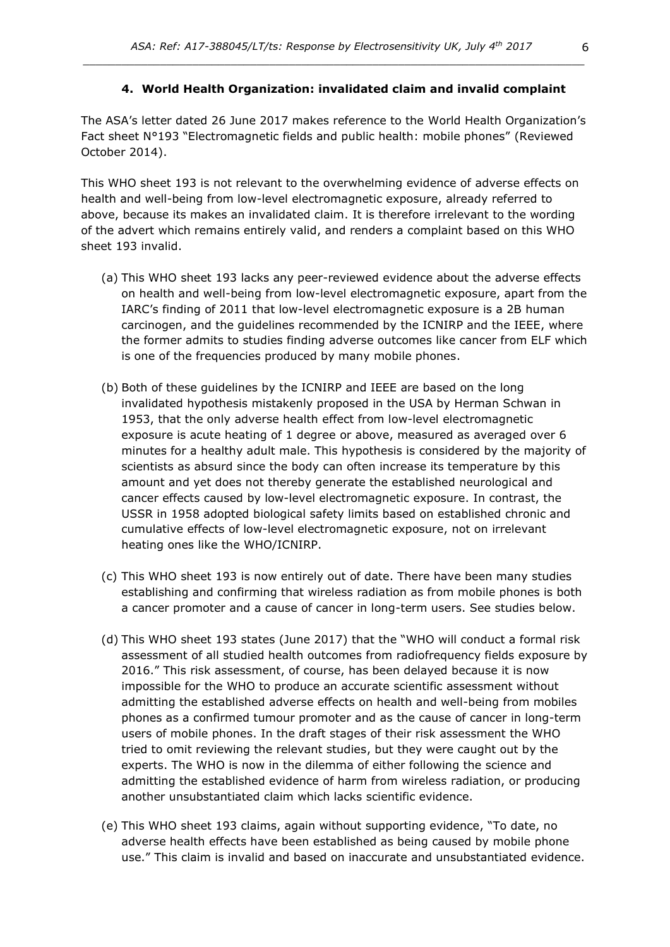#### **4. World Health Organization: invalidated claim and invalid complaint**

The ASA's letter dated 26 June 2017 makes reference to the World Health Organization's Fact sheet N°193 "Electromagnetic fields and public health: mobile phones" (Reviewed October 2014).

This WHO sheet 193 is not relevant to the overwhelming evidence of adverse effects on health and well-being from low-level electromagnetic exposure, already referred to above, because its makes an invalidated claim. It is therefore irrelevant to the wording of the advert which remains entirely valid, and renders a complaint based on this WHO sheet 193 invalid.

- (a) This WHO sheet 193 lacks any peer-reviewed evidence about the adverse effects on health and well-being from low-level electromagnetic exposure, apart from the IARC's finding of 2011 that low-level electromagnetic exposure is a 2B human carcinogen, and the guidelines recommended by the ICNIRP and the IEEE, where the former admits to studies finding adverse outcomes like cancer from ELF which is one of the frequencies produced by many mobile phones.
- (b) Both of these guidelines by the ICNIRP and IEEE are based on the long invalidated hypothesis mistakenly proposed in the USA by Herman Schwan in 1953, that the only adverse health effect from low-level electromagnetic exposure is acute heating of 1 degree or above, measured as averaged over 6 minutes for a healthy adult male. This hypothesis is considered by the majority of scientists as absurd since the body can often increase its temperature by this amount and yet does not thereby generate the established neurological and cancer effects caused by low-level electromagnetic exposure. In contrast, the USSR in 1958 adopted biological safety limits based on established chronic and cumulative effects of low-level electromagnetic exposure, not on irrelevant heating ones like the WHO/ICNIRP.
- (c) This WHO sheet 193 is now entirely out of date. There have been many studies establishing and confirming that wireless radiation as from mobile phones is both a cancer promoter and a cause of cancer in long-term users. See studies below.
- (d) This WHO sheet 193 states (June 2017) that the "WHO will conduct a formal risk assessment of all studied health outcomes from radiofrequency fields exposure by 2016." This risk assessment, of course, has been delayed because it is now impossible for the WHO to produce an accurate scientific assessment without admitting the established adverse effects on health and well-being from mobiles phones as a confirmed tumour promoter and as the cause of cancer in long-term users of mobile phones. In the draft stages of their risk assessment the WHO tried to omit reviewing the relevant studies, but they were caught out by the experts. The WHO is now in the dilemma of either following the science and admitting the established evidence of harm from wireless radiation, or producing another unsubstantiated claim which lacks scientific evidence.
- (e) This WHO sheet 193 claims, again without supporting evidence, "To date, no adverse health effects have been established as being caused by mobile phone use." This claim is invalid and based on inaccurate and unsubstantiated evidence.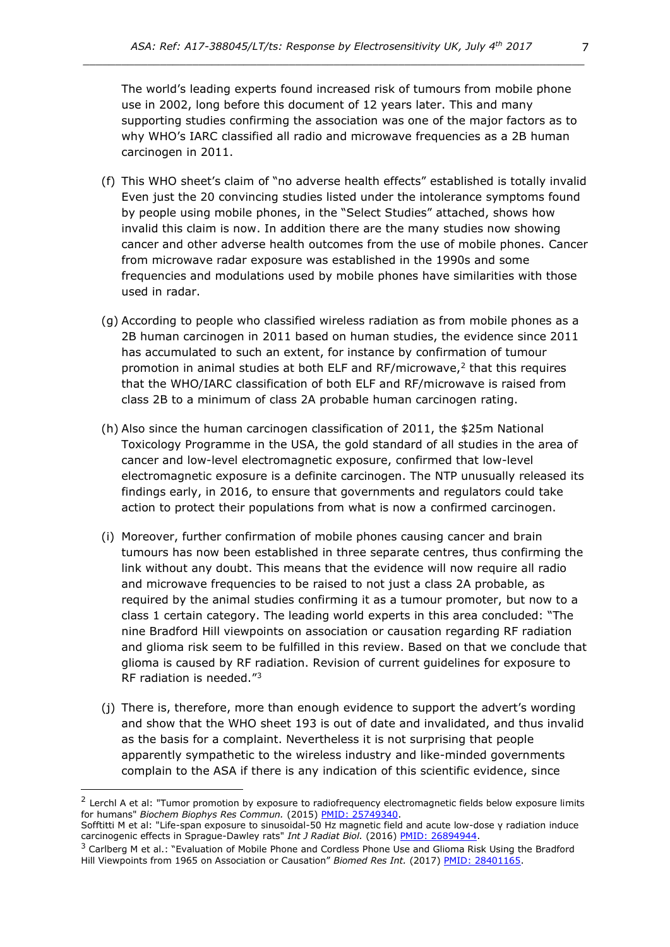The world's leading experts found increased risk of tumours from mobile phone use in 2002, long before this document of 12 years later. This and many supporting studies confirming the association was one of the major factors as to why WHO's IARC classified all radio and microwave frequencies as a 2B human carcinogen in 2011.

- (f) This WHO sheet's claim of "no adverse health effects" established is totally invalid Even just the 20 convincing studies listed under the intolerance symptoms found by people using mobile phones, in the "Select Studies" attached, shows how invalid this claim is now. In addition there are the many studies now showing cancer and other adverse health outcomes from the use of mobile phones. Cancer from microwave radar exposure was established in the 1990s and some frequencies and modulations used by mobile phones have similarities with those used in radar.
- (g) According to people who classified wireless radiation as from mobile phones as a 2B human carcinogen in 2011 based on human studies, the evidence since 2011 has accumulated to such an extent, for instance by confirmation of tumour promotion in animal studies at both ELF and RF/microwave, $<sup>2</sup>$  that this requires</sup> that the WHO/IARC classification of both ELF and RF/microwave is raised from class 2B to a minimum of class 2A probable human carcinogen rating.
- (h) Also since the human carcinogen classification of 2011, the \$25m National Toxicology Programme in the USA, the gold standard of all studies in the area of cancer and low-level electromagnetic exposure, confirmed that low-level electromagnetic exposure is a definite carcinogen. The NTP unusually released its findings early, in 2016, to ensure that governments and regulators could take action to protect their populations from what is now a confirmed carcinogen.
- (i) Moreover, further confirmation of mobile phones causing cancer and brain tumours has now been established in three separate centres, thus confirming the link without any doubt. This means that the evidence will now require all radio and microwave frequencies to be raised to not just a class 2A probable, as required by the animal studies confirming it as a tumour promoter, but now to a class 1 certain category. The leading world experts in this area concluded: "The nine Bradford Hill viewpoints on association or causation regarding RF radiation and glioma risk seem to be fulfilled in this review. Based on that we conclude that glioma is caused by RF radiation. Revision of current guidelines for exposure to RF radiation is needed."<sup>3</sup>
- (j) There is, therefore, more than enough evidence to support the advert's wording and show that the WHO sheet 193 is out of date and invalidated, and thus invalid as the basis for a complaint. Nevertheless it is not surprising that people apparently sympathetic to the wireless industry and like-minded governments complain to the ASA if there is any indication of this scientific evidence, since

<sup>&</sup>lt;sup>2</sup> Lerchl A et al: "Tumor promotion by exposure to radiofrequency electromagnetic fields below exposure limits for humans" *Biochem Biophys Res Commun.* (2015) PMID: [25749340.](http://www.ncbi.nlm.nih.gov/pubmed/25749340)

Sofftitti M et al: "Life-span exposure to sinusoidal-50 Hz magnetic field and acute low-dose γ radiation induce carcinogenic effects in Sprague-Dawley rats" *Int J Radiat Biol.* (2016) PMID: [26894944.](http://www.ncbi.nlm.nih.gov/pubmed/26894944)

 $3$  Carlberg M et al.: "Evaluation of Mobile Phone and Cordless Phone Use and Glioma Risk Using the Bradford Hill Viewpoints from 1965 on Association or Causation" *Biomed Res Int.* (2017) [PMID: 28401165.](https://www.ncbi.nlm.nih.gov/pubmed/28401165)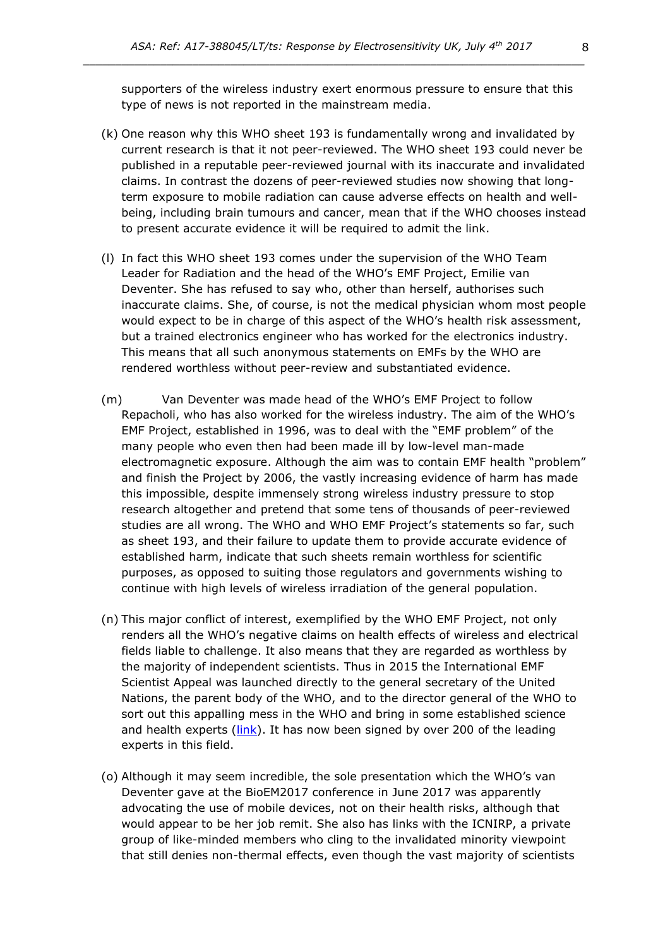supporters of the wireless industry exert enormous pressure to ensure that this type of news is not reported in the mainstream media.

- (k) One reason why this WHO sheet 193 is fundamentally wrong and invalidated by current research is that it not peer-reviewed. The WHO sheet 193 could never be published in a reputable peer-reviewed journal with its inaccurate and invalidated claims. In contrast the dozens of peer-reviewed studies now showing that longterm exposure to mobile radiation can cause adverse effects on health and wellbeing, including brain tumours and cancer, mean that if the WHO chooses instead to present accurate evidence it will be required to admit the link.
- (l) In fact this WHO sheet 193 comes under the supervision of the WHO Team Leader for Radiation and the head of the WHO's EMF Project, Emilie van Deventer. She has refused to say who, other than herself, authorises such inaccurate claims. She, of course, is not the medical physician whom most people would expect to be in charge of this aspect of the WHO's health risk assessment, but a trained electronics engineer who has worked for the electronics industry. This means that all such anonymous statements on EMFs by the WHO are rendered worthless without peer-review and substantiated evidence.
- (m) Van Deventer was made head of the WHO's EMF Project to follow Repacholi, who has also worked for the wireless industry. The aim of the WHO's EMF Project, established in 1996, was to deal with the "EMF problem" of the many people who even then had been made ill by low-level man-made electromagnetic exposure. Although the aim was to contain EMF health "problem" and finish the Project by 2006, the vastly increasing evidence of harm has made this impossible, despite immensely strong wireless industry pressure to stop research altogether and pretend that some tens of thousands of peer-reviewed studies are all wrong. The WHO and WHO EMF Project's statements so far, such as sheet 193, and their failure to update them to provide accurate evidence of established harm, indicate that such sheets remain worthless for scientific purposes, as opposed to suiting those regulators and governments wishing to continue with high levels of wireless irradiation of the general population.
- (n) This major conflict of interest, exemplified by the WHO EMF Project, not only renders all the WHO's negative claims on health effects of wireless and electrical fields liable to challenge. It also means that they are regarded as worthless by the majority of independent scientists. Thus in 2015 the International EMF Scientist Appeal was launched directly to the general secretary of the United Nations, the parent body of the WHO, and to the director general of the WHO to sort out this appalling mess in the WHO and bring in some established science and health experts  $(link)$ . It has now been signed by over 200 of the leading experts in this field.
- (o) Although it may seem incredible, the sole presentation which the WHO's van Deventer gave at the BioEM2017 conference in June 2017 was apparently advocating the use of mobile devices, not on their health risks, although that would appear to be her job remit. She also has links with the ICNIRP, a private group of like-minded members who cling to the invalidated minority viewpoint that still denies non-thermal effects, even though the vast majority of scientists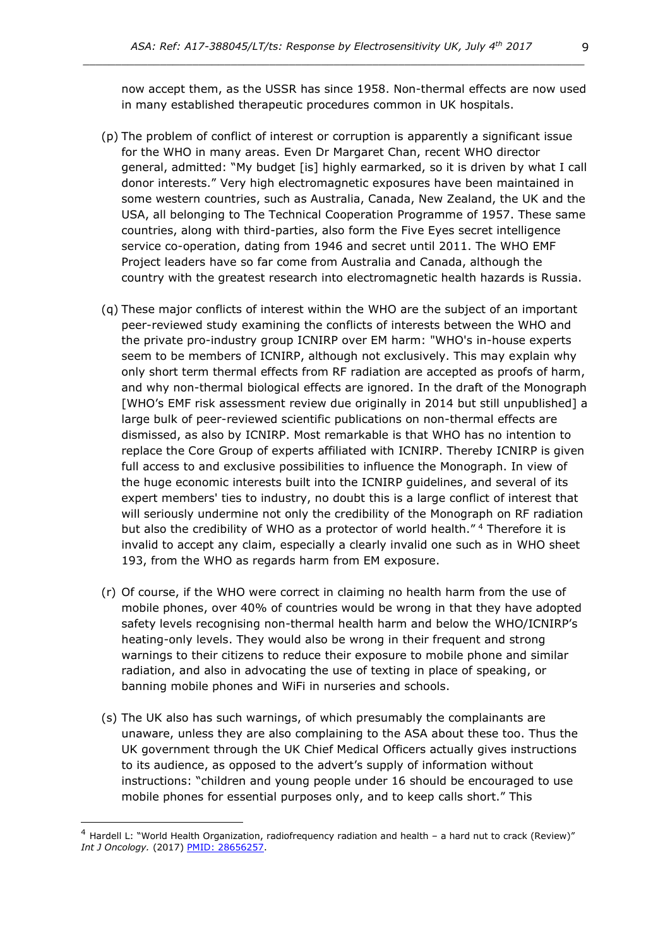now accept them, as the USSR has since 1958. Non-thermal effects are now used in many established therapeutic procedures common in UK hospitals.

- (p) The problem of conflict of interest or corruption is apparently a significant issue for the WHO in many areas. Even Dr Margaret Chan, recent WHO director general, admitted: "My budget [is] highly earmarked, so it is driven by what I call donor interests." Very high electromagnetic exposures have been maintained in some western countries, such as Australia, Canada, New Zealand, the UK and the USA, all belonging to The Technical Cooperation Programme of 1957. These same countries, along with third-parties, also form the Five Eyes secret intelligence service co-operation, dating from 1946 and secret until 2011. The WHO EMF Project leaders have so far come from Australia and Canada, although the country with the greatest research into electromagnetic health hazards is Russia.
- (q) These major conflicts of interest within the WHO are the subject of an important peer-reviewed study examining the conflicts of interests between the WHO and the private pro-industry group ICNIRP over EM harm: "WHO's in-house experts seem to be members of ICNIRP, although not exclusively. This may explain why only short term thermal effects from RF radiation are accepted as proofs of harm, and why non-thermal biological effects are ignored. In the draft of the Monograph [WHO's EMF risk assessment review due originally in 2014 but still unpublished] a large bulk of peer-reviewed scientific publications on non-thermal effects are dismissed, as also by ICNIRP. Most remarkable is that WHO has no intention to replace the Core Group of experts affiliated with ICNIRP. Thereby ICNIRP is given full access to and exclusive possibilities to influence the Monograph. In view of the huge economic interests built into the ICNIRP guidelines, and several of its expert members' ties to industry, no doubt this is a large conflict of interest that will seriously undermine not only the credibility of the Monograph on RF radiation but also the credibility of WHO as a protector of world health."<sup>4</sup> Therefore it is invalid to accept any claim, especially a clearly invalid one such as in WHO sheet 193, from the WHO as regards harm from EM exposure.
- (r) Of course, if the WHO were correct in claiming no health harm from the use of mobile phones, over 40% of countries would be wrong in that they have adopted safety levels recognising non-thermal health harm and below the WHO/ICNIRP's heating-only levels. They would also be wrong in their frequent and strong warnings to their citizens to reduce their exposure to mobile phone and similar radiation, and also in advocating the use of texting in place of speaking, or banning mobile phones and WiFi in nurseries and schools.
- (s) The UK also has such warnings, of which presumably the complainants are unaware, unless they are also complaining to the ASA about these too. Thus the UK government through the UK Chief Medical Officers actually gives instructions to its audience, as opposed to the advert's supply of information without instructions: "children and young people under 16 should be encouraged to use mobile phones for essential purposes only, and to keep calls short." This

<sup>4</sup> Hardell L: "World Health Organization, radiofrequency radiation and health – a hard nut to crack (Review)" *Int J Oncology.* (2017) [PMID: 28656257.](https://www.ncbi.nlm.nih.gov/pubmed/28656257)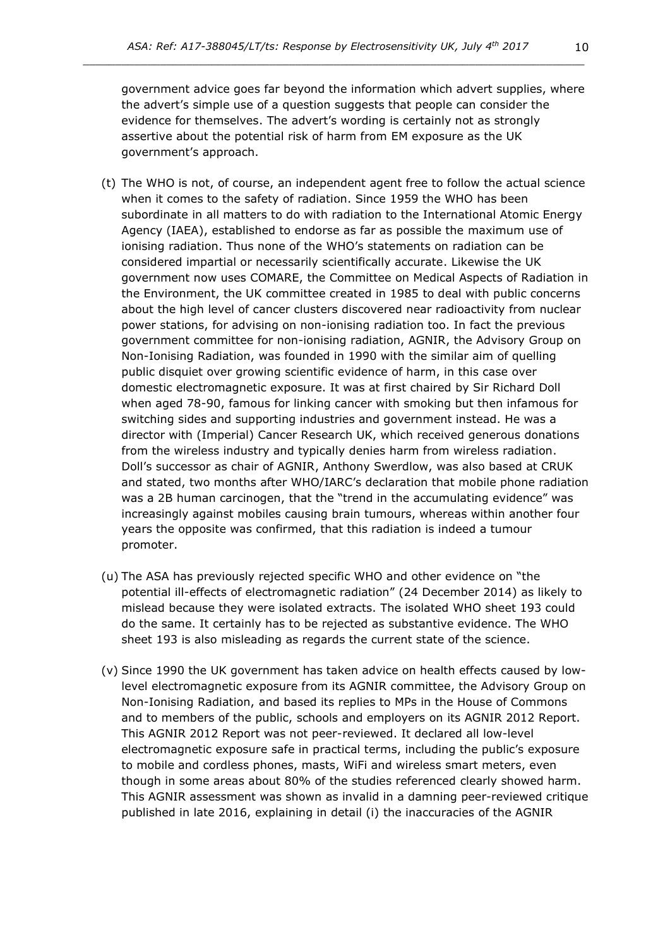government advice goes far beyond the information which advert supplies, where the advert's simple use of a question suggests that people can consider the evidence for themselves. The advert's wording is certainly not as strongly assertive about the potential risk of harm from EM exposure as the UK government's approach.

- (t) The WHO is not, of course, an independent agent free to follow the actual science when it comes to the safety of radiation. Since 1959 the WHO has been subordinate in all matters to do with radiation to the International Atomic Energy Agency (IAEA), established to endorse as far as possible the maximum use of ionising radiation. Thus none of the WHO's statements on radiation can be considered impartial or necessarily scientifically accurate. Likewise the UK government now uses COMARE, the Committee on Medical Aspects of Radiation in the Environment, the UK committee created in 1985 to deal with public concerns about the high level of cancer clusters discovered near radioactivity from nuclear power stations, for advising on non-ionising radiation too. In fact the previous government committee for non-ionising radiation, AGNIR, the Advisory Group on Non-Ionising Radiation, was founded in 1990 with the similar aim of quelling public disquiet over growing scientific evidence of harm, in this case over domestic electromagnetic exposure. It was at first chaired by Sir Richard Doll when aged 78-90, famous for linking cancer with smoking but then infamous for switching sides and supporting industries and government instead. He was a director with (Imperial) Cancer Research UK, which received generous donations from the wireless industry and typically denies harm from wireless radiation. Doll's successor as chair of AGNIR, Anthony Swerdlow, was also based at CRUK and stated, two months after WHO/IARC's declaration that mobile phone radiation was a 2B human carcinogen, that the "trend in the accumulating evidence" was increasingly against mobiles causing brain tumours, whereas within another four years the opposite was confirmed, that this radiation is indeed a tumour promoter.
- (u) The ASA has previously rejected specific WHO and other evidence on "the potential ill-effects of electromagnetic radiation" (24 December 2014) as likely to mislead because they were isolated extracts. The isolated WHO sheet 193 could do the same. It certainly has to be rejected as substantive evidence. The WHO sheet 193 is also misleading as regards the current state of the science.
- (v) Since 1990 the UK government has taken advice on health effects caused by lowlevel electromagnetic exposure from its AGNIR committee, the Advisory Group on Non-Ionising Radiation, and based its replies to MPs in the House of Commons and to members of the public, schools and employers on its AGNIR 2012 Report. This AGNIR 2012 Report was not peer-reviewed. It declared all low-level electromagnetic exposure safe in practical terms, including the public's exposure to mobile and cordless phones, masts, WiFi and wireless smart meters, even though in some areas about 80% of the studies referenced clearly showed harm. This AGNIR assessment was shown as invalid in a damning peer-reviewed critique published in late 2016, explaining in detail (i) the inaccuracies of the AGNIR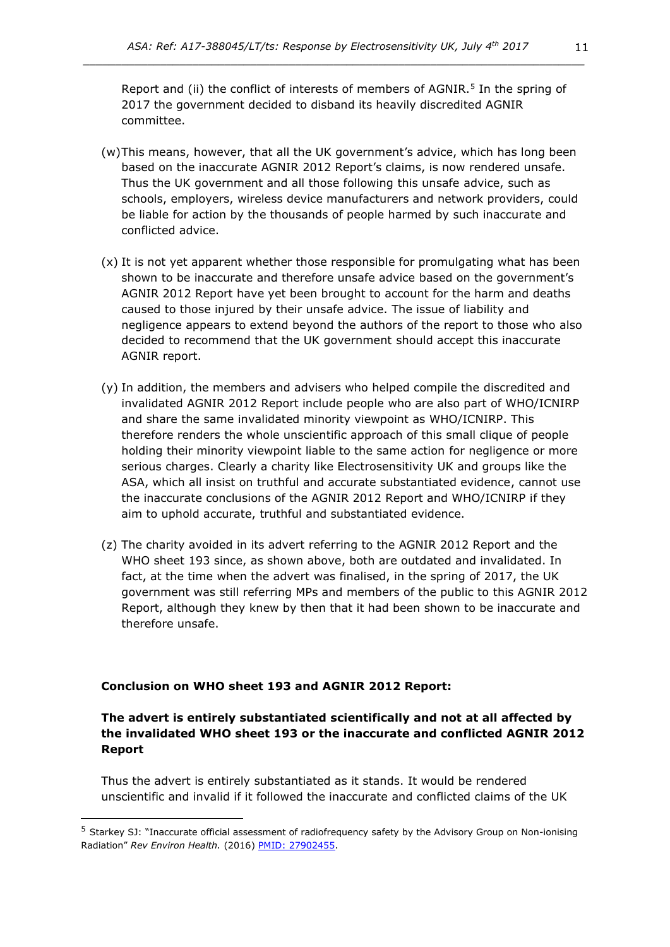Report and (ii) the conflict of interests of members of  $AGNIR.^5$  In the spring of 2017 the government decided to disband its heavily discredited AGNIR committee.

- (w)This means, however, that all the UK government's advice, which has long been based on the inaccurate AGNIR 2012 Report's claims, is now rendered unsafe. Thus the UK government and all those following this unsafe advice, such as schools, employers, wireless device manufacturers and network providers, could be liable for action by the thousands of people harmed by such inaccurate and conflicted advice.
- (x) It is not yet apparent whether those responsible for promulgating what has been shown to be inaccurate and therefore unsafe advice based on the government's AGNIR 2012 Report have yet been brought to account for the harm and deaths caused to those injured by their unsafe advice. The issue of liability and negligence appears to extend beyond the authors of the report to those who also decided to recommend that the UK government should accept this inaccurate AGNIR report.
- (y) In addition, the members and advisers who helped compile the discredited and invalidated AGNIR 2012 Report include people who are also part of WHO/ICNIRP and share the same invalidated minority viewpoint as WHO/ICNIRP. This therefore renders the whole unscientific approach of this small clique of people holding their minority viewpoint liable to the same action for negligence or more serious charges. Clearly a charity like Electrosensitivity UK and groups like the ASA, which all insist on truthful and accurate substantiated evidence, cannot use the inaccurate conclusions of the AGNIR 2012 Report and WHO/ICNIRP if they aim to uphold accurate, truthful and substantiated evidence.
- (z) The charity avoided in its advert referring to the AGNIR 2012 Report and the WHO sheet 193 since, as shown above, both are outdated and invalidated. In fact, at the time when the advert was finalised, in the spring of 2017, the UK government was still referring MPs and members of the public to this AGNIR 2012 Report, although they knew by then that it had been shown to be inaccurate and therefore unsafe.

#### **Conclusion on WHO sheet 193 and AGNIR 2012 Report:**

# **The advert is entirely substantiated scientifically and not at all affected by the invalidated WHO sheet 193 or the inaccurate and conflicted AGNIR 2012 Report**

Thus the advert is entirely substantiated as it stands. It would be rendered unscientific and invalid if it followed the inaccurate and conflicted claims of the UK

<sup>&</sup>lt;sup>5</sup> Starkey SJ: "Inaccurate official assessment of radiofrequency safety by the Advisory Group on Non-ionising Radiation" *Rev Environ Health.* (2016) [PMID: 27902455.](https://www.ncbi.nlm.nih.gov/pubmed/27902455)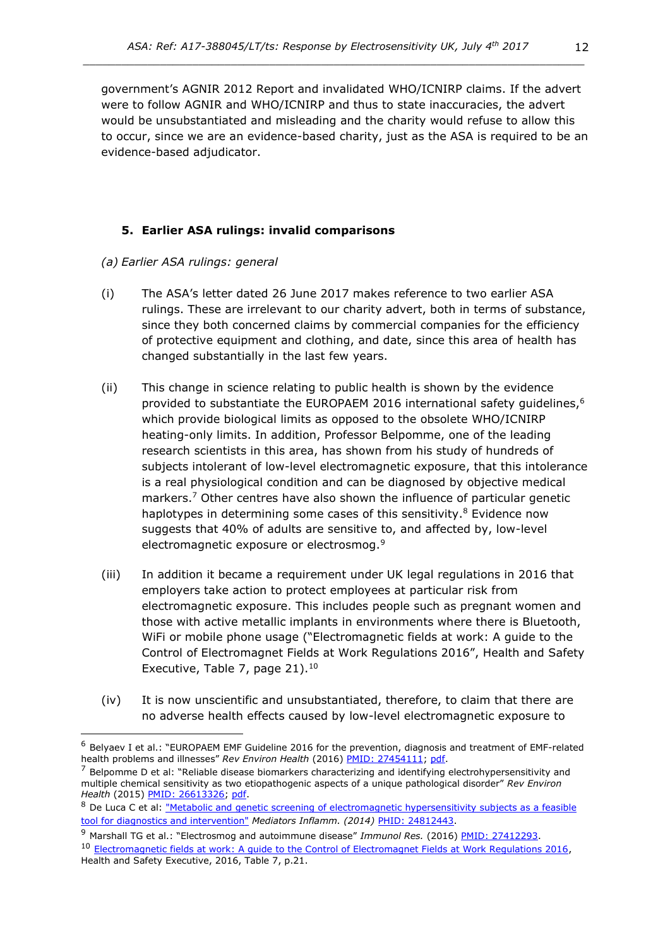government's AGNIR 2012 Report and invalidated WHO/ICNIRP claims. If the advert were to follow AGNIR and WHO/ICNIRP and thus to state inaccuracies, the advert would be unsubstantiated and misleading and the charity would refuse to allow this to occur, since we are an evidence-based charity, just as the ASA is required to be an evidence-based adjudicator.

# **5. Earlier ASA rulings: invalid comparisons**

- *(a) Earlier ASA rulings: general*
- (i) The ASA's letter dated 26 June 2017 makes reference to two earlier ASA rulings. These are irrelevant to our charity advert, both in terms of substance, since they both concerned claims by commercial companies for the efficiency of protective equipment and clothing, and date, since this area of health has changed substantially in the last few years.
- (ii) This change in science relating to public health is shown by the evidence provided to substantiate the EUROPAEM 2016 international safety quidelines,<sup>6</sup> which provide biological limits as opposed to the obsolete WHO/ICNIRP heating-only limits. In addition, Professor Belpomme, one of the leading research scientists in this area, has shown from his study of hundreds of subjects intolerant of low-level electromagnetic exposure, that this intolerance is a real physiological condition and can be diagnosed by objective medical markers.<sup>7</sup> Other centres have also shown the influence of particular genetic haplotypes in determining some cases of this sensitivity.<sup>8</sup> Evidence now suggests that 40% of adults are sensitive to, and affected by, low-level electromagnetic exposure or electrosmog.<sup>9</sup>
- (iii) In addition it became a requirement under UK legal regulations in 2016 that employers take action to protect employees at particular risk from electromagnetic exposure. This includes people such as pregnant women and those with active metallic implants in environments where there is Bluetooth, WiFi or mobile phone usage ("Electromagnetic fields at work: A guide to the Control of Electromagnet Fields at Work Regulations 2016", Health and Safety Executive, Table 7, page  $21$ ).<sup>10</sup>
- (iv) It is now unscientific and unsubstantiated, therefore, to claim that there are no adverse health effects caused by low-level electromagnetic exposure to

<sup>6</sup> Belyaev I et al.: "EUROPAEM EMF Guideline 2016 for the prevention, diagnosis and treatment of EMF-related health problems and illnesses" Rev Environ Health (2016) [PMID: 27454111;](https://www.ncbi.nlm.nih.gov/pubmed/27454111) [pdf.](https://www.degruyter.com/downloadpdf/j/reveh.2016.31.issue-3/reveh-2016-0011/reveh-2016-0011.pdf)

 $<sup>7</sup>$  Belpomme D et al: "Reliable disease biomarkers characterizing and identifying electrohypersensitivity and</sup> multiple chemical sensitivity as two etiopathogenic aspects of a unique pathological disorder" *Rev Environ Health* (2015) [PMID: 26613326;](http://www.ncbi.nlm.nih.gov/pubmed/26613326) [pdf.](http://www.ehs-mcs.org/fichiers/1454070991_Reliable_biomarkers.pdf)

<sup>8</sup> De Luca C et al: "Metabolic and genetic screening of electromagnetic hypersensitivity subjects as a feasible [tool for diagnostics and intervention"](http://www.ncbi.nlm.nih.gov/pmc/articles/PMC4000647/pdf/MI2014-924184.pdf) *Mediators Inflamm. (2014)* [PHID: 24812443.](http://www.ncbi.nlm.nih.gov/pubmed/24812443)

<sup>&</sup>lt;sup>9</sup> Marshall TG et al.: "Electrosmog and autoimmune disease" *Immunol Res.* (2016[\) PMID: 27412293.](http://www.ncbi.nlm.nih.gov/pubmed/27412293)

<sup>&</sup>lt;sup>10</sup> Electromagnetic fields at work: A guide to the Control of Electromagnet Fields at Work Regulations 2016. Health and Safety Executive, 2016, Table 7, p.21.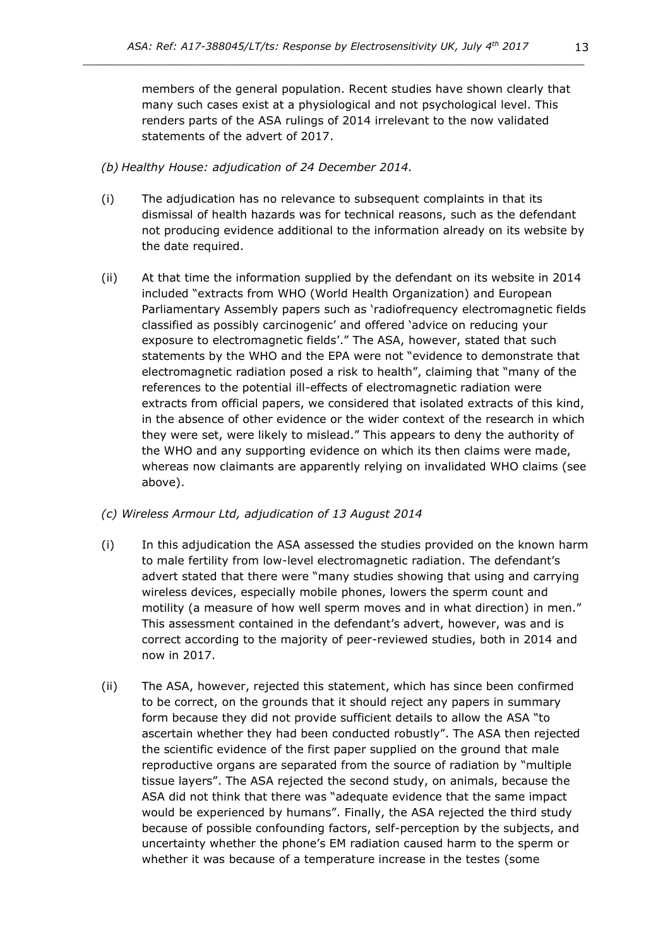members of the general population. Recent studies have shown clearly that many such cases exist at a physiological and not psychological level. This renders parts of the ASA rulings of 2014 irrelevant to the now validated statements of the advert of 2017.

### *(b) Healthy House: adjudication of 24 December 2014.*

- (i) The adjudication has no relevance to subsequent complaints in that its dismissal of health hazards was for technical reasons, such as the defendant not producing evidence additional to the information already on its website by the date required.
- (ii) At that time the information supplied by the defendant on its website in 2014 included "extracts from WHO (World Health Organization) and European Parliamentary Assembly papers such as 'radiofrequency electromagnetic fields classified as possibly carcinogenic' and offered 'advice on reducing your exposure to electromagnetic fields'." The ASA, however, stated that such statements by the WHO and the EPA were not "evidence to demonstrate that electromagnetic radiation posed a risk to health", claiming that "many of the references to the potential ill-effects of electromagnetic radiation were extracts from official papers, we considered that isolated extracts of this kind, in the absence of other evidence or the wider context of the research in which they were set, were likely to mislead." This appears to deny the authority of the WHO and any supporting evidence on which its then claims were made, whereas now claimants are apparently relying on invalidated WHO claims (see above).

## *(c) Wireless Armour Ltd, adjudication of 13 August 2014*

- (i) In this adjudication the ASA assessed the studies provided on the known harm to male fertility from low-level electromagnetic radiation. The defendant's advert stated that there were "many studies showing that using and carrying wireless devices, especially mobile phones, lowers the sperm count and motility (a measure of how well sperm moves and in what direction) in men." This assessment contained in the defendant's advert, however, was and is correct according to the majority of peer-reviewed studies, both in 2014 and now in 2017.
- (ii) The ASA, however, rejected this statement, which has since been confirmed to be correct, on the grounds that it should reject any papers in summary form because they did not provide sufficient details to allow the ASA "to ascertain whether they had been conducted robustly". The ASA then rejected the scientific evidence of the first paper supplied on the ground that male reproductive organs are separated from the source of radiation by "multiple tissue layers". The ASA rejected the second study, on animals, because the ASA did not think that there was "adequate evidence that the same impact would be experienced by humans". Finally, the ASA rejected the third study because of possible confounding factors, self-perception by the subjects, and uncertainty whether the phone's EM radiation caused harm to the sperm or whether it was because of a temperature increase in the testes (some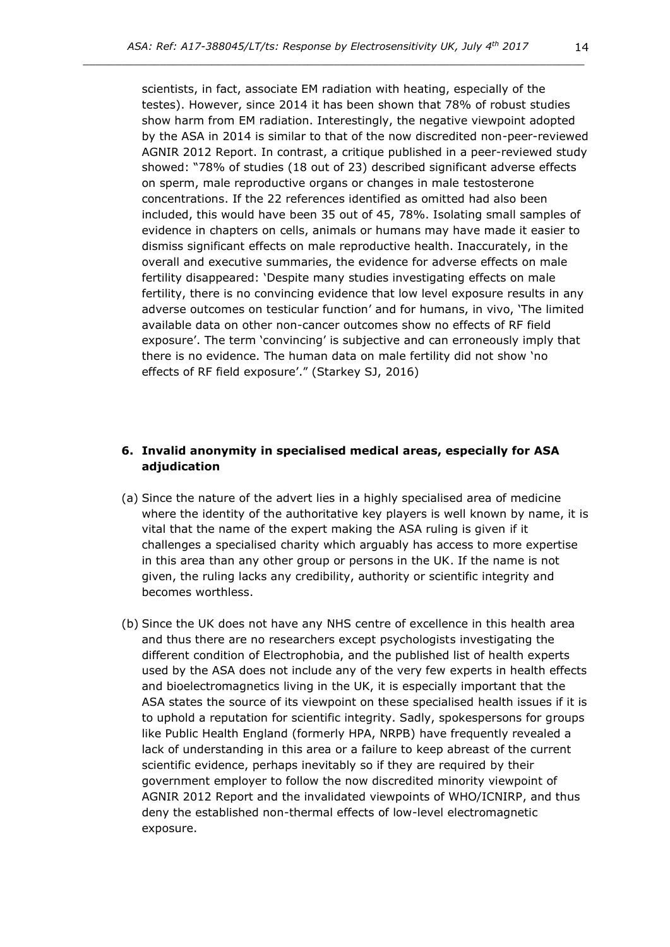scientists, in fact, associate EM radiation with heating, especially of the testes). However, since 2014 it has been shown that 78% of robust studies show harm from EM radiation. Interestingly, the negative viewpoint adopted by the ASA in 2014 is similar to that of the now discredited non-peer-reviewed AGNIR 2012 Report. In contrast, a critique published in a peer-reviewed study showed: "78% of studies (18 out of 23) described significant adverse effects on sperm, male reproductive organs or changes in male testosterone concentrations. If the 22 references identified as omitted had also been included, this would have been 35 out of 45, 78%. Isolating small samples of evidence in chapters on cells, animals or humans may have made it easier to dismiss significant effects on male reproductive health. Inaccurately, in the overall and executive summaries, the evidence for adverse effects on male fertility disappeared: 'Despite many studies investigating effects on male fertility, there is no convincing evidence that low level exposure results in any adverse outcomes on testicular function' and for humans, in vivo, 'The limited available data on other non-cancer outcomes show no effects of RF field exposure'. The term 'convincing' is subjective and can erroneously imply that there is no evidence. The human data on male fertility did not show 'no effects of RF field exposure'." (Starkey SJ, 2016)

## **6. Invalid anonymity in specialised medical areas, especially for ASA adjudication**

- (a) Since the nature of the advert lies in a highly specialised area of medicine where the identity of the authoritative key players is well known by name, it is vital that the name of the expert making the ASA ruling is given if it challenges a specialised charity which arguably has access to more expertise in this area than any other group or persons in the UK. If the name is not given, the ruling lacks any credibility, authority or scientific integrity and becomes worthless.
- (b) Since the UK does not have any NHS centre of excellence in this health area and thus there are no researchers except psychologists investigating the different condition of Electrophobia, and the published list of health experts used by the ASA does not include any of the very few experts in health effects and bioelectromagnetics living in the UK, it is especially important that the ASA states the source of its viewpoint on these specialised health issues if it is to uphold a reputation for scientific integrity. Sadly, spokespersons for groups like Public Health England (formerly HPA, NRPB) have frequently revealed a lack of understanding in this area or a failure to keep abreast of the current scientific evidence, perhaps inevitably so if they are required by their government employer to follow the now discredited minority viewpoint of AGNIR 2012 Report and the invalidated viewpoints of WHO/ICNIRP, and thus deny the established non-thermal effects of low-level electromagnetic exposure.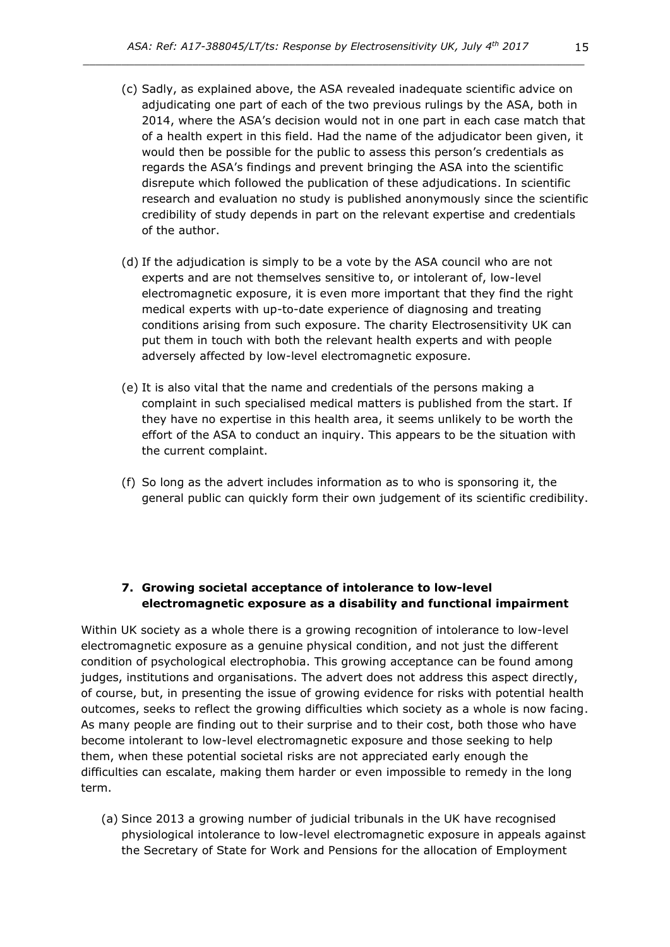- (c) Sadly, as explained above, the ASA revealed inadequate scientific advice on adjudicating one part of each of the two previous rulings by the ASA, both in 2014, where the ASA's decision would not in one part in each case match that of a health expert in this field. Had the name of the adjudicator been given, it would then be possible for the public to assess this person's credentials as regards the ASA's findings and prevent bringing the ASA into the scientific disrepute which followed the publication of these adjudications. In scientific research and evaluation no study is published anonymously since the scientific credibility of study depends in part on the relevant expertise and credentials of the author.
- (d) If the adjudication is simply to be a vote by the ASA council who are not experts and are not themselves sensitive to, or intolerant of, low-level electromagnetic exposure, it is even more important that they find the right medical experts with up-to-date experience of diagnosing and treating conditions arising from such exposure. The charity Electrosensitivity UK can put them in touch with both the relevant health experts and with people adversely affected by low-level electromagnetic exposure.
- (e) It is also vital that the name and credentials of the persons making a complaint in such specialised medical matters is published from the start. If they have no expertise in this health area, it seems unlikely to be worth the effort of the ASA to conduct an inquiry. This appears to be the situation with the current complaint.
- (f) So long as the advert includes information as to who is sponsoring it, the general public can quickly form their own judgement of its scientific credibility.

#### **7. Growing societal acceptance of intolerance to low-level electromagnetic exposure as a disability and functional impairment**

Within UK society as a whole there is a growing recognition of intolerance to low-level electromagnetic exposure as a genuine physical condition, and not just the different condition of psychological electrophobia. This growing acceptance can be found among judges, institutions and organisations. The advert does not address this aspect directly, of course, but, in presenting the issue of growing evidence for risks with potential health outcomes, seeks to reflect the growing difficulties which society as a whole is now facing. As many people are finding out to their surprise and to their cost, both those who have become intolerant to low-level electromagnetic exposure and those seeking to help them, when these potential societal risks are not appreciated early enough the difficulties can escalate, making them harder or even impossible to remedy in the long term.

(a) Since 2013 a growing number of judicial tribunals in the UK have recognised physiological intolerance to low-level electromagnetic exposure in appeals against the Secretary of State for Work and Pensions for the allocation of Employment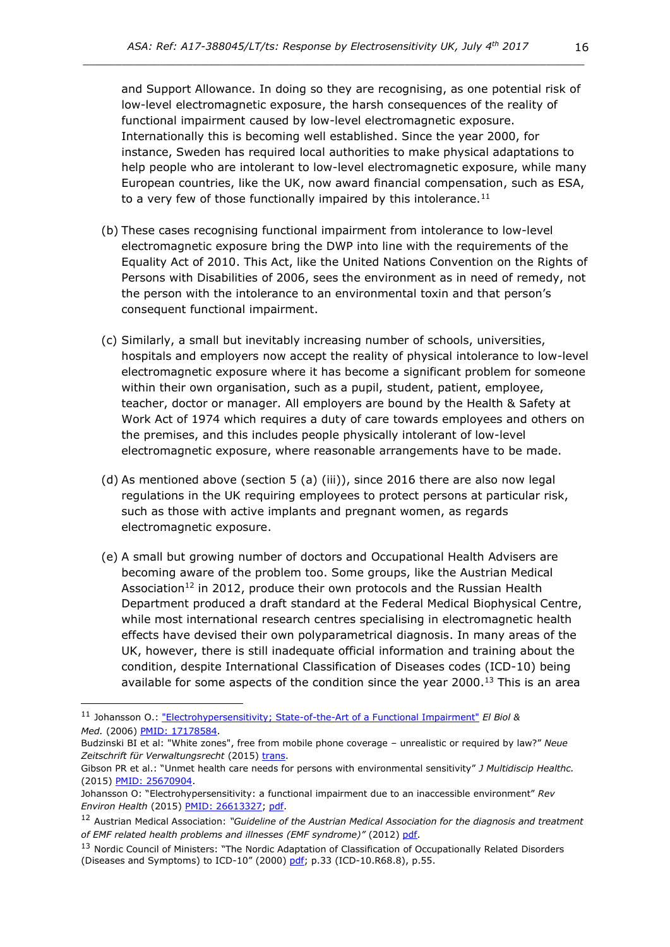and Support Allowance. In doing so they are recognising, as one potential risk of low-level electromagnetic exposure, the harsh consequences of the reality of functional impairment caused by low-level electromagnetic exposure. Internationally this is becoming well established. Since the year 2000, for instance, Sweden has required local authorities to make physical adaptations to help people who are intolerant to low-level electromagnetic exposure, while many European countries, like the UK, now award financial compensation, such as ESA, to a very few of those functionally impaired by this intolerance.<sup>11</sup>

- (b) These cases recognising functional impairment from intolerance to low-level electromagnetic exposure bring the DWP into line with the requirements of the Equality Act of 2010. This Act, like the United Nations Convention on the Rights of Persons with Disabilities of 2006, sees the environment as in need of remedy, not the person with the intolerance to an environmental toxin and that person's consequent functional impairment.
- (c) Similarly, a small but inevitably increasing number of schools, universities, hospitals and employers now accept the reality of physical intolerance to low-level electromagnetic exposure where it has become a significant problem for someone within their own organisation, such as a pupil, student, patient, employee, teacher, doctor or manager. All employers are bound by the Health & Safety at Work Act of 1974 which requires a duty of care towards employees and others on the premises, and this includes people physically intolerant of low-level electromagnetic exposure, where reasonable arrangements have to be made.
- (d) As mentioned above (section 5 (a) (iii)), since 2016 there are also now legal regulations in the UK requiring employees to protect persons at particular risk, such as those with active implants and pregnant women, as regards electromagnetic exposure.
- (e) A small but growing number of doctors and Occupational Health Advisers are becoming aware of the problem too. Some groups, like the Austrian Medical Association<sup>12</sup> in 2012, produce their own protocols and the Russian Health Department produced a draft standard at the Federal Medical Biophysical Centre, while most international research centres specialising in electromagnetic health effects have devised their own polyparametrical diagnosis. In many areas of the UK, however, there is still inadequate official information and training about the condition, despite International Classification of Diseases codes (ICD-10) being available for some aspects of the condition since the year  $2000$ .<sup>13</sup> This is an area

<sup>11</sup> Johansson O.: ["Electrohypersensitivity; State-of-the-Art of a Functional Impairment"](http://c4st.org/images/documents/scientific_studies/ElectrohypersensitivityStateoftheArtofaFuncationalImpairmentJohansson.pdf) *El Biol & Med.* (2006) [PMID: 17178584.](http://www.ncbi.nlm.nih.gov/pubmed/?term=17178584)

Budzinski BI et al: "White zones", free from mobile phone coverage – unrealistic or required by law?" *Neue*  Zeitschrift für Verwaltungsrecht (2015) [trans.](http://kompetenzinitiative.net/KIT/wp-content/uploads/2015/11/White-Zones_Budzinski_Kuehling_Nov_2015.pdf)

Gibson PR et al.: "Unmet health care needs for persons with environmental sensitivity" *J Multidiscip Healthc.* (2015) [PMID: 25670904.](http://www.ncbi.nlm.nih.gov/pubmed/25670904)

Johansson O: "Electrohypersensitivity: a functional impairment due to an inaccessible environment" *Rev Environ Health* (2015) [PMID: 26613327;](http://www.ncbi.nlm.nih.gov/pubmed/26613327) [pdf.](http://www.bemri.org/publications/electrosensitivity/464-johansson-2015-functional-impairment/file.html)

<sup>12</sup> Austrian Medical Association: *"Guideline of the Austrian Medical Association for the diagnosis and treatment of EMF related health problems and illnesses (EMF syndrome)"* (2012[\) pdf.](http://freiburger-appell-2012.info/media/EMF%20Guideline%20OAK-AG%20%202012%2003%2003.pdf)

<sup>&</sup>lt;sup>13</sup> Nordic Council of Ministers: "The Nordic Adaptation of Classification of Occupationally Related Disorders (Diseases and Symptoms) to ICD-10" (2000) [pdf;](https://www.google.co.uk/url?sa=t&rct=j&q=&esrc=s&source=web&cd=1&ved=0ahUKEwiJ-pq5iYLLAhUKbhQKHUFVDRgQFggdMAA&url=http%3A%2F%2Fwww.nordclass.se%2FICD-10_Nordic%2520Occupational_2000.pdf&usg=AFQjCNGGlT-g9VI25v27Ajvk0kDAvIZZTg&sig2=MJPKkPAKvm7kQvG9yejjyw) p.33 (ICD-10.R68.8), p.55.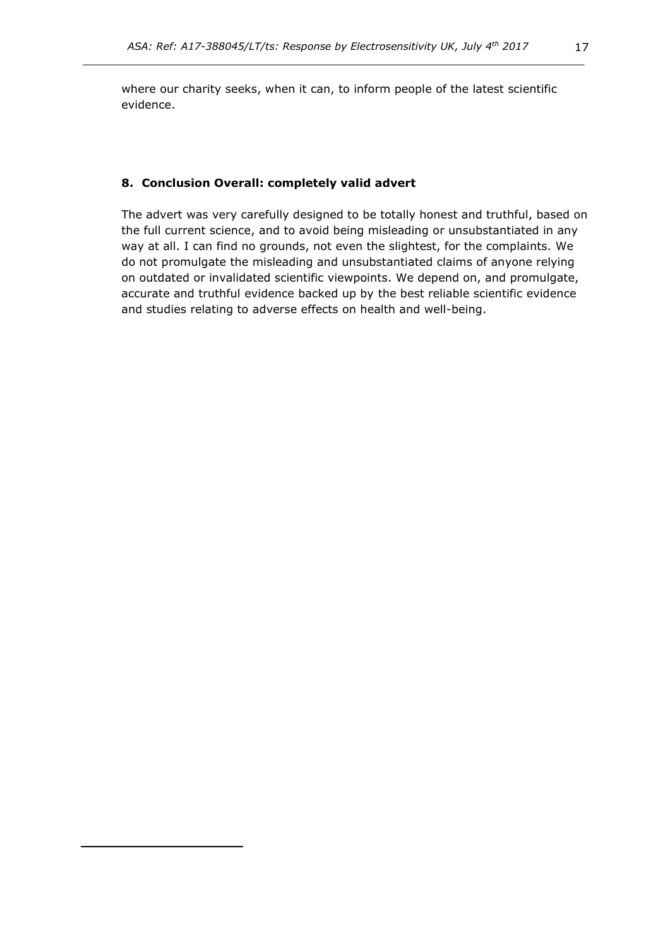where our charity seeks, when it can, to inform people of the latest scientific evidence.

#### **8. Conclusion Overall: completely valid advert**

The advert was very carefully designed to be totally honest and truthful, based on the full current science, and to avoid being misleading or unsubstantiated in any way at all. I can find no grounds, not even the slightest, for the complaints. We do not promulgate the misleading and unsubstantiated claims of anyone relying on outdated or invalidated scientific viewpoints. We depend on, and promulgate, accurate and truthful evidence backed up by the best reliable scientific evidence and studies relating to adverse effects on health and well-being.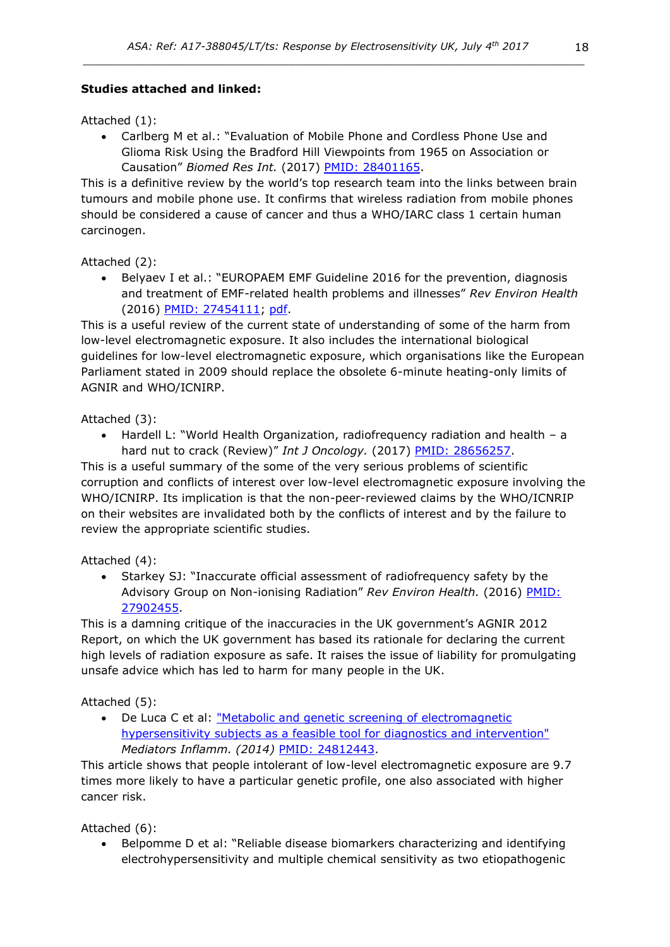# **Studies attached and linked:**

Attached (1):

• Carlberg M et al.: "Evaluation of Mobile Phone and Cordless Phone Use and Glioma Risk Using the Bradford Hill Viewpoints from 1965 on Association or Causation" *Biomed Res Int.* (2017) [PMID: 28401165.](https://www.ncbi.nlm.nih.gov/pubmed/28401165)

This is a definitive review by the world's top research team into the links between brain tumours and mobile phone use. It confirms that wireless radiation from mobile phones should be considered a cause of cancer and thus a WHO/IARC class 1 certain human carcinogen.

Attached (2):

• Belyaev I et al.: "EUROPAEM EMF Guideline 2016 for the prevention, diagnosis and treatment of EMF-related health problems and illnesses" *Rev Environ Health* (2016) [PMID: 27454111;](https://www.ncbi.nlm.nih.gov/pubmed/27454111) [pdf.](https://www.degruyter.com/downloadpdf/j/reveh.2016.31.issue-3/reveh-2016-0011/reveh-2016-0011.pdf)

This is a useful review of the current state of understanding of some of the harm from low-level electromagnetic exposure. It also includes the international biological guidelines for low-level electromagnetic exposure, which organisations like the European Parliament stated in 2009 should replace the obsolete 6-minute heating-only limits of AGNIR and WHO/ICNIRP.

Attached (3):

• Hardell L: "World Health Organization, radiofrequency radiation and health – a hard nut to crack (Review)" *Int J Oncology.* (2017) [PMID: 28656257.](https://www.ncbi.nlm.nih.gov/pubmed/28656257)

This is a useful summary of the some of the very serious problems of scientific corruption and conflicts of interest over low-level electromagnetic exposure involving the WHO/ICNIRP. Its implication is that the non-peer-reviewed claims by the WHO/ICNRIP on their websites are invalidated both by the conflicts of interest and by the failure to review the appropriate scientific studies.

Attached (4):

• Starkey SJ: "Inaccurate official assessment of radiofrequency safety by the Advisory Group on Non-ionising Radiation" *Rev Environ Health.* (2016) [PMID:](https://www.ncbi.nlm.nih.gov/pubmed/27902455)  [27902455.](https://www.ncbi.nlm.nih.gov/pubmed/27902455)

This is a damning critique of the inaccuracies in the UK government's AGNIR 2012 Report, on which the UK government has based its rationale for declaring the current high levels of radiation exposure as safe. It raises the issue of liability for promulgating unsafe advice which has led to harm for many people in the UK.

Attached (5):

• De Luca C et al: ["Metabolic and genetic screening of electromagnetic](http://www.ncbi.nlm.nih.gov/pmc/articles/PMC4000647/pdf/MI2014-924184.pdf)  [hypersensitivity subjects as a feasible tool for diagnostics and intervention"](http://www.ncbi.nlm.nih.gov/pmc/articles/PMC4000647/pdf/MI2014-924184.pdf) *Mediators Inflamm. (2014)* [PMID: 24812443.](http://www.ncbi.nlm.nih.gov/pubmed/24812443)

This article shows that people intolerant of low-level electromagnetic exposure are 9.7 times more likely to have a particular genetic profile, one also associated with higher cancer risk.

Attached (6):

• Belpomme D et al: "Reliable disease biomarkers characterizing and identifying electrohypersensitivity and multiple chemical sensitivity as two etiopathogenic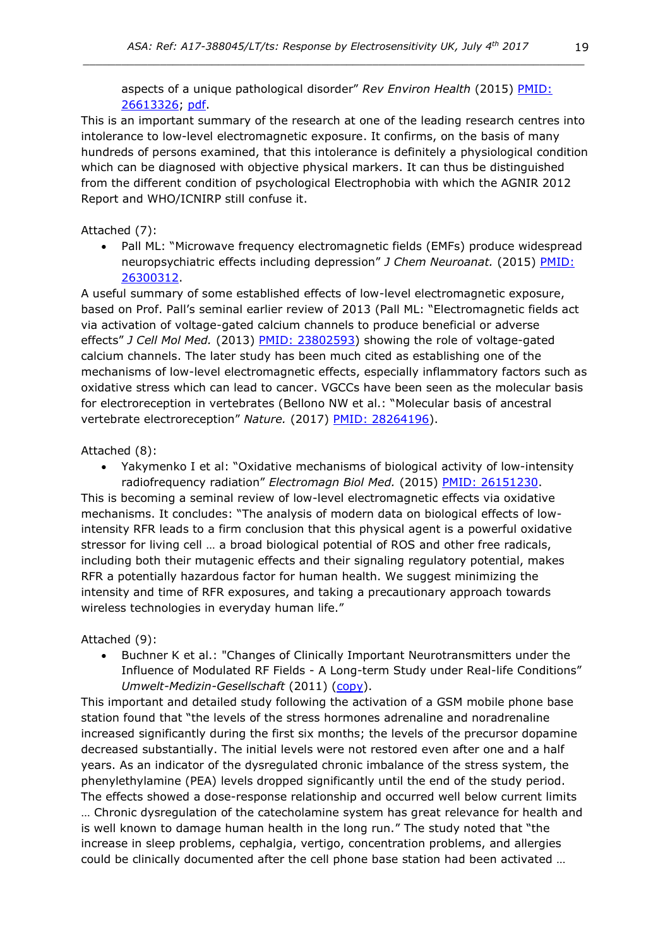aspects of a unique pathological disorder" *Rev Environ Health* (2015) [PMID:](http://www.ncbi.nlm.nih.gov/pubmed/26613326)  [26613326;](http://www.ncbi.nlm.nih.gov/pubmed/26613326) [pdf.](http://www.ehs-mcs.org/fichiers/1454070991_Reliable_biomarkers.pdf)

This is an important summary of the research at one of the leading research centres into intolerance to low-level electromagnetic exposure. It confirms, on the basis of many hundreds of persons examined, that this intolerance is definitely a physiological condition which can be diagnosed with objective physical markers. It can thus be distinguished from the different condition of psychological Electrophobia with which the AGNIR 2012 Report and WHO/ICNIRP still confuse it.

### Attached (7):

• Pall ML: "Microwave frequency electromagnetic fields (EMFs) produce widespread neuropsychiatric effects including depression" *J Chem Neuroanat.* (2015) [PMID:](http://www.ncbi.nlm.nih.gov/pubmed/26300312)  [26300312.](http://www.ncbi.nlm.nih.gov/pubmed/26300312)

A useful summary of some established effects of low-level electromagnetic exposure, based on Prof. Pall's seminal earlier review of 2013 (Pall ML: "Electromagnetic fields act via activation of voltage-gated calcium channels to produce beneficial or adverse effects" *J Cell Mol Med.* (2013) [PMID: 23802593\)](http://www.ncbi.nlm.nih.gov/pubmed/23802593) showing the role of voltage-gated calcium channels. The later study has been much cited as establishing one of the mechanisms of low-level electromagnetic effects, especially inflammatory factors such as oxidative stress which can lead to cancer. VGCCs have been seen as the molecular basis for electroreception in vertebrates (Bellono NW et al.: "Molecular basis of ancestral vertebrate electroreception" *Nature.* (2017) [PMID: 28264196\)](https://www.ncbi.nlm.nih.gov/pubmed/28264196).

### Attached (8):

• Yakymenko I et al: "Oxidative mechanisms of biological activity of low-intensity

radiofrequency radiation" *Electromagn Biol Med.* (2015) [PMID: 26151230.](http://www.ncbi.nlm.nih.gov/pubmed/26151230) This is becoming a seminal review of low-level electromagnetic effects via oxidative mechanisms. It concludes: "The analysis of modern data on biological effects of lowintensity RFR leads to a firm conclusion that this physical agent is a powerful oxidative stressor for living cell … a broad biological potential of ROS and other free radicals, including both their mutagenic effects and their signaling regulatory potential, makes RFR a potentially hazardous factor for human health. We suggest minimizing the intensity and time of RFR exposures, and taking a precautionary approach towards wireless technologies in everyday human life."

## Attached (9):

• Buchner K et al.: "Changes of Clinically Important Neurotransmitters under the Influence of Modulated RF Fields - A Long-term Study under Real-life Conditions" *Umwelt-Medizin-Gesellschaft* (2011) [\(copy\)](http://www.radiationresearch.org/images/RRT_articles/Buchner%20Eger%20Rimbach%20Study%202011%20ENG%20FINAL%20Revised%2029%20July%202011.pdf).

This important and detailed study following the activation of a GSM mobile phone base station found that "the levels of the stress hormones adrenaline and noradrenaline increased significantly during the first six months; the levels of the precursor dopamine decreased substantially. The initial levels were not restored even after one and a half years. As an indicator of the dysregulated chronic imbalance of the stress system, the phenylethylamine (PEA) levels dropped significantly until the end of the study period. The effects showed a dose-response relationship and occurred well below current limits … Chronic dysregulation of the catecholamine system has great relevance for health and is well known to damage human health in the long run." The study noted that "the increase in sleep problems, cephalgia, vertigo, concentration problems, and allergies could be clinically documented after the cell phone base station had been activated …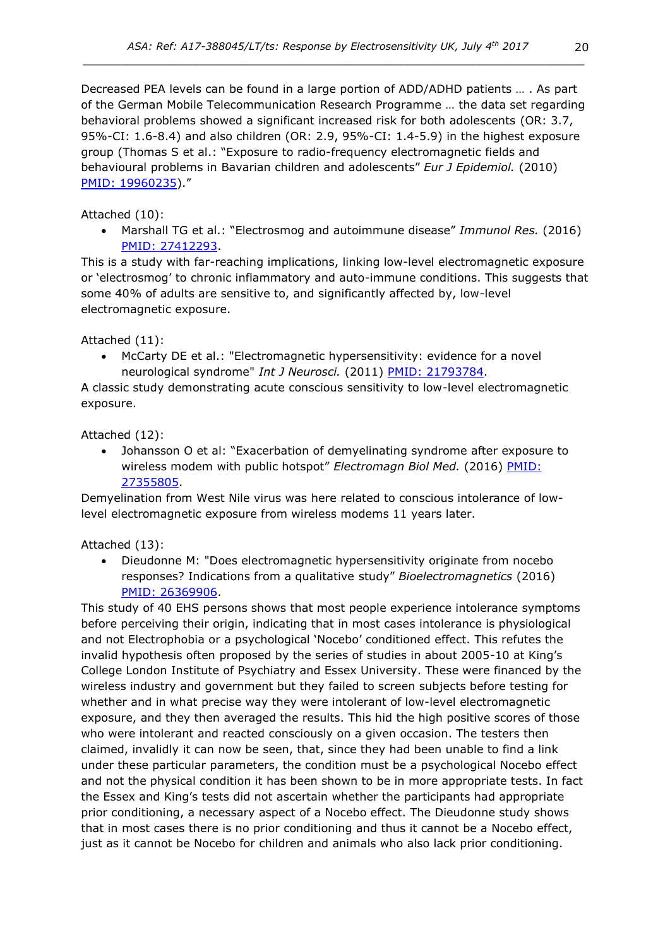Decreased PEA levels can be found in a large portion of ADD/ADHD patients … . As part of the German Mobile Telecommunication Research Programme … the data set regarding behavioral problems showed a significant increased risk for both adolescents (OR: 3.7, 95%-CI: 1.6-8.4) and also children (OR: 2.9, 95%-CI: 1.4-5.9) in the highest exposure group (Thomas S et al.: "Exposure to radio-frequency electromagnetic fields and behavioural problems in Bavarian children and adolescents" *Eur J Epidemiol.* (2010) [PMID: 19960235](https://www.ncbi.nlm.nih.gov/pubmed/19960235))."

## Attached (10):

• Marshall TG et al.: "Electrosmog and autoimmune disease" *Immunol Res.* (2016) [PMID: 27412293.](http://www.ncbi.nlm.nih.gov/pubmed/27412293)

This is a study with far-reaching implications, linking low-level electromagnetic exposure or 'electrosmog' to chronic inflammatory and auto-immune conditions. This suggests that some 40% of adults are sensitive to, and significantly affected by, low-level electromagnetic exposure.

### Attached (11):

• McCarty DE et al.: "Electromagnetic hypersensitivity: evidence for a novel neurological syndrome" *Int J Neurosci.* (2011) [PMID: 21793784.](http://www.ncbi.nlm.nih.gov/pubmed/?term=21793784)

A classic study demonstrating acute conscious sensitivity to low-level electromagnetic exposure.

Attached (12):

• Johansson O et al: "Exacerbation of demyelinating syndrome after exposure to wireless modem with public hotspot" *Electromagn Biol Med.* (2016) PMID: [27355805.](http://www.ncbi.nlm.nih.gov/pubmed/27355805)

Demyelination from West Nile virus was here related to conscious intolerance of lowlevel electromagnetic exposure from wireless modems 11 years later.

#### Attached (13):

• Dieudonne M: "Does electromagnetic hypersensitivity originate from nocebo responses? Indications from a qualitative study" *Bioelectromagnetics* (2016) PMID: [26369906.](http://www.ncbi.nlm.nih.gov/pubmed/26369906)

This study of 40 EHS persons shows that most people experience intolerance symptoms before perceiving their origin, indicating that in most cases intolerance is physiological and not Electrophobia or a psychological 'Nocebo' conditioned effect. This refutes the invalid hypothesis often proposed by the series of studies in about 2005-10 at King's College London Institute of Psychiatry and Essex University. These were financed by the wireless industry and government but they failed to screen subjects before testing for whether and in what precise way they were intolerant of low-level electromagnetic exposure, and they then averaged the results. This hid the high positive scores of those who were intolerant and reacted consciously on a given occasion. The testers then claimed, invalidly it can now be seen, that, since they had been unable to find a link under these particular parameters, the condition must be a psychological Nocebo effect and not the physical condition it has been shown to be in more appropriate tests. In fact the Essex and King's tests did not ascertain whether the participants had appropriate prior conditioning, a necessary aspect of a Nocebo effect. The Dieudonne study shows that in most cases there is no prior conditioning and thus it cannot be a Nocebo effect, just as it cannot be Nocebo for children and animals who also lack prior conditioning.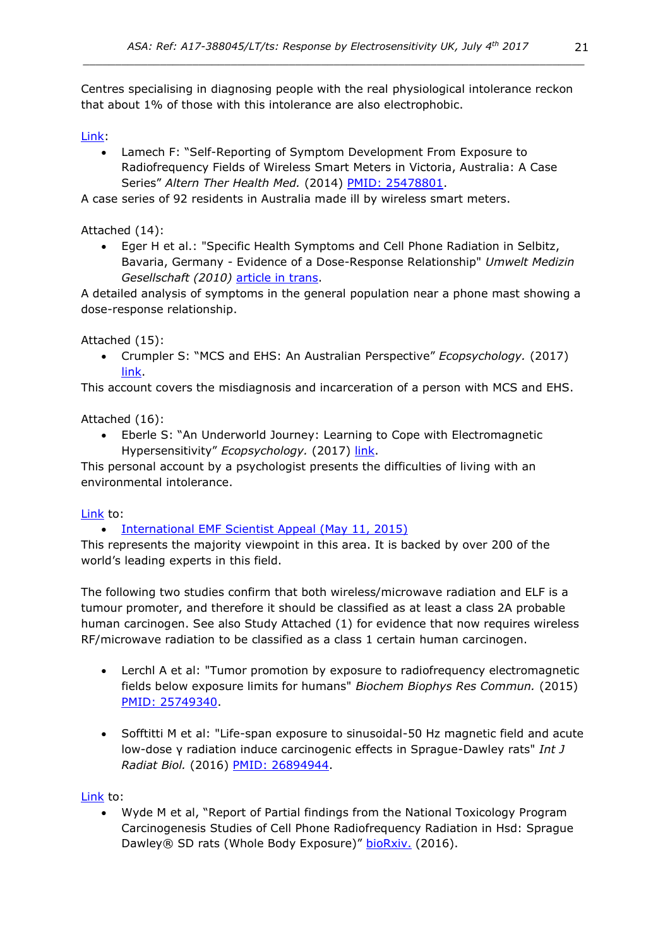Centres specialising in diagnosing people with the real physiological intolerance reckon that about 1% of those with this intolerance are also electrophobic.

[Link:](http://www.ncbi.nlm.nih.gov/pubmed/?term=25478801)

• Lamech F: "Self-Reporting of Symptom Development From Exposure to Radiofrequency Fields of Wireless Smart Meters in Victoria, Australia: A Case Series" *Altern Ther Health Med.* (2014) [PMID: 25478801.](http://www.ncbi.nlm.nih.gov/pubmed/?term=25478801)

A case series of 92 residents in Australia made ill by wireless smart meters.

Attached (14):

• Eger H et al.: "Specific Health Symptoms and Cell Phone Radiation in Selbitz, Bavaria, Germany - Evidence of a Dose-Response Relationship" *Umwelt Medizin Gesellschaft (2010)* [article in trans.](http://www.next-up.org/pdf/Horst_Eger_Manfred_Jahn_Scientific_Health_Symptoms_and_Cell_Phone_Radiation_in_Selbitz_Germany_2010.pdf)

A detailed analysis of symptoms in the general population near a phone mast showing a dose-response relationship.

Attached (15):

• Crumpler S: "MCS and EHS: An Australian Perspective" *Ecopsychology.* (2017) [link.](http://online.liebertpub.com/toc/eco/9/2)

This account covers the misdiagnosis and incarceration of a person with MCS and EHS.

Attached (16):

• Eberle S: "An Underworld Journey: Learning to Cope with Electromagnetic Hypersensitivity" *Ecopsychology.* (2017) [link.](http://online.liebertpub.com/toc/eco/9/2)

This personal account by a psychologist presents the difficulties of living with an environmental intolerance.

## [Link](https://www.emfscientist.org/images/docs/EMF_Scientist_Press_Release_5-1-2015.pdf) to:

## • [International EMF Scientist Appeal \(May 11, 2015\)](https://www.emfscientist.org/images/docs/EMF_Scientist_Press_Release_5-1-2015.pdf)

This represents the majority viewpoint in this area. It is backed by over 200 of the world's leading experts in this field.

The following two studies confirm that both wireless/microwave radiation and ELF is a tumour promoter, and therefore it should be classified as at least a class 2A probable human carcinogen. See also Study Attached (1) for evidence that now requires wireless RF/microwave radiation to be classified as a class 1 certain human carcinogen.

- Lerchl A et al: "Tumor promotion by exposure to radiofrequency electromagnetic fields below exposure limits for humans" *Biochem Biophys Res Commun.* (2015) PMID: [25749340.](http://www.ncbi.nlm.nih.gov/pubmed/25749340)
- Sofftitti M et al: "Life-span exposure to sinusoidal-50 Hz magnetic field and acute low-dose γ radiation induce carcinogenic effects in Sprague-Dawley rats" *Int J Radiat Biol.* (2016) PMID: [26894944.](http://www.ncbi.nlm.nih.gov/pubmed/26894944)

[Link](http://biorxiv.org/content/early/2016/05/26/055699) to:

• Wyde M et al, "Report of Partial findings from the National Toxicology Program Carcinogenesis Studies of Cell Phone Radiofrequency Radiation in Hsd: Sprague Dawley® SD rats (Whole Body Exposure)" [bioRxiv.](http://biorxiv.org/content/early/2016/05/26/055699) (2016).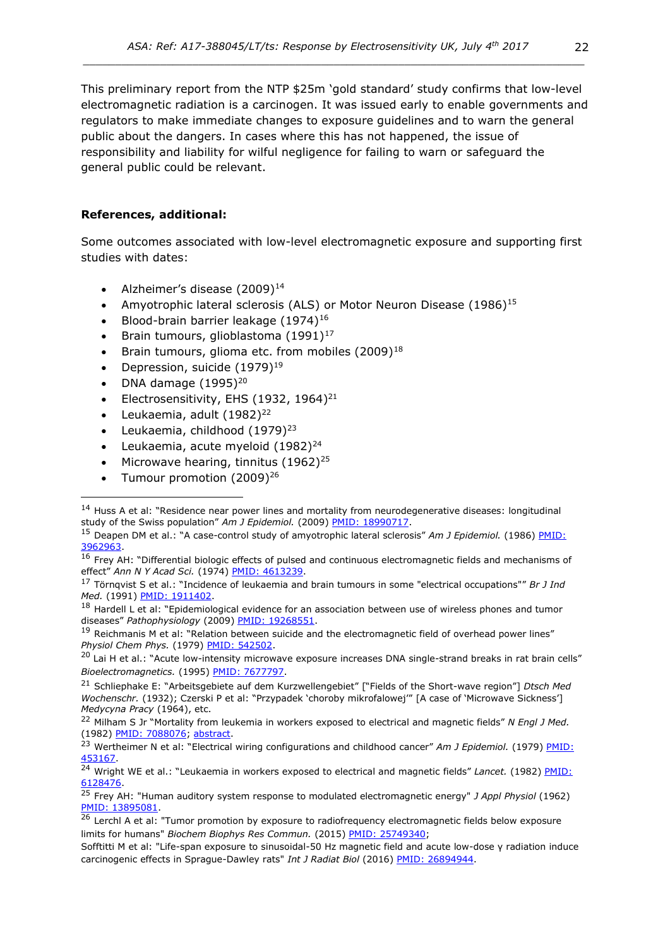This preliminary report from the NTP \$25m 'gold standard' study confirms that low-level electromagnetic radiation is a carcinogen. It was issued early to enable governments and regulators to make immediate changes to exposure guidelines and to warn the general public about the dangers. In cases where this has not happened, the issue of responsibility and liability for wilful negligence for failing to warn or safeguard the general public could be relevant.

### **References, additional:**

Some outcomes associated with low-level electromagnetic exposure and supporting first studies with dates:

- Alzheimer's disease  $(2009)^{14}$
- Amyotrophic lateral sclerosis (ALS) or Motor Neuron Disease (1986)<sup>15</sup>
- Blood-brain barrier leakage  $(1974)^{16}$
- Brain tumours, glioblastoma  $(1991)^{17}$
- Brain tumours, glioma etc. from mobiles  $(2009)^{18}$
- Depression, suicide  $(1979)^{19}$
- DNA damage  $(1995)^{20}$
- Electrosensitivity, EHS (1932, 1964)<sup>21</sup>
- Leukaemia, adult  $(1982)^{22}$
- Leukaemia, childhood (1979)<sup>23</sup>
- Leukaemia, acute myeloid  $(1982)^{24}$
- Microwave hearing, tinnitus  $(1962)^{25}$
- Tumour promotion  $(2009)^{26}$

<sup>18</sup> Hardell L et al: "Epidemiological evidence for an association between use of wireless phones and tumor diseases" *Pathophysiology* (2009) [PMID: 19268551.](http://www.ncbi.nlm.nih.gov/pubmed/19268551)

<sup>19</sup> Reichmanis M et al: "Relation between suicide and the electromagnetic field of overhead power lines" *Physiol Chem Phys.* (1979) [PMID: 542502.](http://www.ncbi.nlm.nih.gov/pubmed/542502)

<sup>&</sup>lt;sup>14</sup> Huss A et al: "Residence near power lines and mortality from neurodegenerative diseases: longitudinal study of the Swiss population" Am J Epidemiol. (2009) [PMID: 18990717.](http://www.ncbi.nlm.nih.gov/pubmed/?term=18990717)

<sup>15</sup> Deapen DM et al.: "A case-control study of amyotrophic lateral sclerosis" *Am J Epidemiol.* (1986) [PMID:](https://www.ncbi.nlm.nih.gov/pubmed/3962963)  [3962963.](https://www.ncbi.nlm.nih.gov/pubmed/3962963)

 $16$  Frey AH: "Differential biologic effects of pulsed and continuous electromagnetic fields and mechanisms of effect" *Ann N Y Acad Sci.* (1974) [PMID: 4613239.](http://www.ncbi.nlm.nih.gov/pubmed/4613239)

<sup>17</sup> Törnqvist S et al.: "Incidence of leukaemia and brain tumours in some "electrical occupations"" *Br J Ind Med.* (1991) [PMID: 1911402.](https://www.ncbi.nlm.nih.gov/pubmed/1911402)

 $20$  Lai H et al.: "Acute low-intensity microwave exposure increases DNA single-strand breaks in rat brain cells" *Bioelectromagnetics.* (1995) [PMID: 7677797.](https://www.ncbi.nlm.nih.gov/pubmed/7677797)

<sup>21</sup> Schliephake E: "Arbeitsgebiete auf dem Kurzwellengebiet" ["Fields of the Short-wave region"] *Dtsch Med Wochenschr.* (1932); Czerski P et al: "Przypadek 'choroby mikrofalowej'" [A case of 'Microwave Sickness'] *Medycyna Pracy* (1964), etc.

<sup>22</sup> Milham S Jr "Mortality from leukemia in workers exposed to electrical and magnetic fields" *N Engl J Med.* (1982) [PMID: 7088076;](https://www.ncbi.nlm.nih.gov/pubmed/7088076) [abstract.](https://www.cabdirect.org/cabdirect/abstract/19832700364)

<sup>&</sup>lt;sup>23</sup> Wertheimer N et al: "Electrical wiring configurations and childhood cancer" Am J Epidemiol. (1979) PMID: [453167.](http://www.ncbi.nlm.nih.gov/pubmed/453167)

<sup>&</sup>lt;sup>24</sup> Wright WE et al.: "Leukaemia in workers exposed to electrical and magnetic fields" Lancet. (1982) PMID: [6128476.](https://www.ncbi.nlm.nih.gov/pubmed/6128476)

<sup>25</sup> Frey AH: "Human auditory system response to modulated electromagnetic energy" *J Appl Physiol* (1962) [PMID: 13895081.](http://www.ncbi.nlm.nih.gov/pubmed/?term=13895081)

<sup>&</sup>lt;sup>26</sup> Lerchl A et al: "Tumor promotion by exposure to radiofrequency electromagnetic fields below exposure limits for humans" *Biochem Biophys Res Commun.* (2015) PMID: [25749340;](http://www.ncbi.nlm.nih.gov/pubmed/25749340)

Sofftitti M et al: "Life-span exposure to sinusoidal-50 Hz magnetic field and acute low-dose γ radiation induce carcinogenic effects in Sprague-Dawley rats" *Int J Radiat Biol* (2016) PMID: [26894944.](http://www.ncbi.nlm.nih.gov/pubmed/26894944)